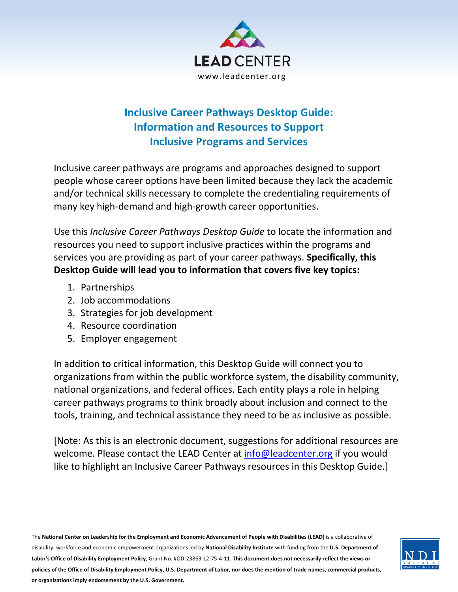

# **Inclusive Career Pathways Desktop Guide: Information and Resources to Support Inclusive Programs and Services**

Inclusive career pathways are programs and approaches designed to support people whose career options have been limited because they lack the academic and/or technical skills necessary to complete the credentialing requirements of many key high-demand and high-growth career opportunities.

Use this *Inclusive Career Pathways Desktop Guide* to locate the information and resources you need to support inclusive practices within the programs and services you are providing as part of your career pathways. **Specifically, this Desktop Guide will lead you to information that covers five key topics:**

- 1. Partnerships
- 2. Job accommodations
- 3. Strategies for job development
- 4. Resource coordination
- 5. Employer engagement

In addition to critical information, this Desktop Guide will connect you to organizations from within the public workforce system, the disability community, national organizations, and federal offices. Each entity plays a role in helping career pathways programs to think broadly about inclusion and connect to the tools, training, and technical assistance they need to be as inclusive as possible.

[Note: As this is an electronic document, suggestions for additional resources are welcome. Please contact the LEAD Center at [info@leadcenter.org](mailto:info@leadcenter.org) if you would like to highlight an Inclusive Career Pathways resources in this Desktop Guide.]

The **National Center on Leadership for the Employment and Economic Advancement of People with Disabilities (LEAD)** is a collaborative of disability, workforce and economic empowerment organizations led by **National Disability Institute** with funding from the **U.S. Department of Labor's Office of Disability Employment Policy**, Grant No. #OD-23863-12-75-4-11. **This document does not necessarily reflect the views or policies of the Office of Disability Employment Policy, U.S. Department of Labor, nor does the mention of trade names, commercial products, or organizations imply endorsement by the U.S. Government.**

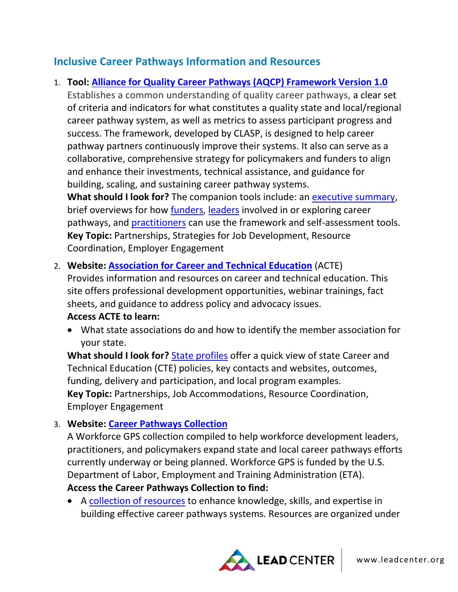# **Inclusive Career Pathways Information and Resources**

# 1. **Tool: [Alliance for Quality Career Pathways \(AQCP\) Framework Version 1.0](https://www.clasp.org/alliance-quality-career-pathways)**

Establishes a common understanding of quality career pathways, a clear set of criteria and indicators for what constitutes a quality state and local/regional career pathway system, as well as metrics to assess participant progress and success. The framework, developed by CLASP, is designed to help career pathway partners continuously improve their systems. It also can serve as a collaborative, comprehensive strategy for policymakers and funders to align and enhance their investments, technical assistance, and guidance for building, scaling, and sustaining career pathway systems.

**What should I look for?** The companion tools include: an [executive summary,](http://www.clasp.org/resources-and-publications/publication-1/Alliance-WIOA-CP-Summary.pdf) brief overviews for how [funders,](http://www.clasp.org/resources-and-publications/files/aqcp-framework-version-1-0/AQCP-Funder-Letter.pdf) [leaders](http://www.clasp.org/resources-and-publications/files/aqcp-framework-version-1-0/AQCP-Leader-Letter.pdf) involved in or exploring career pathways, and [practitioners](https://www.clasp.org/sites/default/files/public/resources-and-publications/files/aqcp-framework-version-1-0/AQCP-Practitioner-Letter.pdf) can use the framework and self-assessment tools. **Key Topic:** Partnerships, Strategies for Job Development, Resource Coordination, Employer Engagement

### 2. **Website: [Association for Career and Technical Education](http://www.acteonline.org/)** (ACTE)

Provides information and resources on career and technical education. This site offers professional development opportunities, webinar trainings, fact sheets, and guidance to address policy and advocacy issues.

#### **Access ACTE to learn:**

• What state associations do and how to identify the member association for your state.

**What should I look for?** [State profiles](https://www.acteonline.org/why-cte/state-profiles/) offer a quick view of state Career and Technical Education (CTE) policies, key contacts and websites, outcomes, funding, delivery and participation, and local program examples. **Key Topic:** Partnerships, Job Accommodations, Resource Coordination, Employer Engagement

# 3. **Website: [Career Pathways Collection](https://careerpathways.workforcegps.org/)**

A Workforce GPS collection compiled to help workforce development leaders, practitioners, and policymakers expand state and local career pathways efforts currently underway or being planned. Workforce GPS is funded by the U.S. Department of Labor, Employment and Training Administration (ETA). **Access the Career Pathways Collection to find:**

• A [collection of resources](https://careerpathways.workforcegps.org/resources/2016/10/20/10/11/Enhanced_Career_Pathways_Toolkit) to enhance knowledge, skills, and expertise in building effective career pathways systems. Resources are organized under

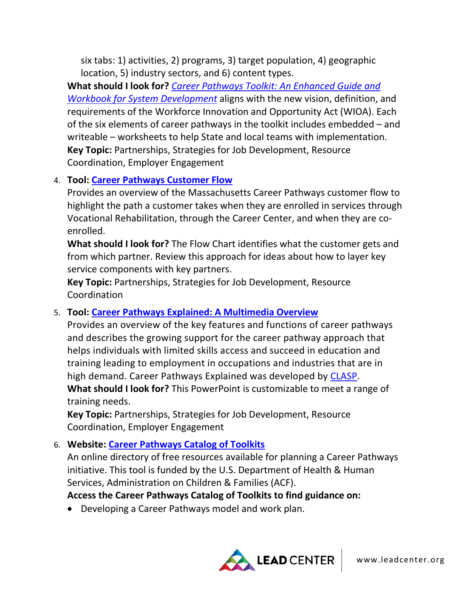six tabs: 1) activities, 2) programs, 3) target population, 4) geographic location, 5) industry sectors, and 6) content types.

**What should I look for?** *[Career Pathways Toolkit: An Enhanced Guide and](https://careerpathways.workforcegps.org/resources/2016/10/20/10/11/Enhanced_Career_Pathways_Toolkit)  [Workbook for System Development](https://careerpathways.workforcegps.org/resources/2016/10/20/10/11/Enhanced_Career_Pathways_Toolkit)* aligns with the new vision, definition, and requirements of the Workforce Innovation and Opportunity Act (WIOA). Each of the six elements of career pathways in the toolkit includes embedded – and writeable – worksheets to help State and local teams with implementation. **Key Topic:** Partnerships, Strategies for Job Development, Resource Coordination, Employer Engagement

### 4. **Tool: [Career Pathways Customer Flow](http://wintac-s3.s3-us-west-2.amazonaws.com/topic-areas/ta_IntegrationVR/MassachusettsCareerPathwaysFlo-forPWD.pdf)**

Provides an overview of the Massachusetts Career Pathways customer flow to highlight the path a customer takes when they are enrolled in services through Vocational Rehabilitation, through the Career Center, and when they are coenrolled.

**What should I look for?** The Flow Chart identifies what the customer gets and from which partner. Review this approach for ideas about how to layer key service components with key partners.

**Key Topic:** Partnerships, Strategies for Job Development, Resource Coordination

#### 5. **Tool: [Career Pathways Explained: A Multimedia Overview](http://www.clasp.org/issues/postsecondary/pages/career-pathways-explained)**

Provides an overview of the key features and functions of career pathways and describes the growing support for the career pathway approach that helps individuals with limited skills access and succeed in education and training leading to employment in occupations and industries that are in high demand. Career Pathways Explained was developed by [CLASP.](https://www.clasp.org/center-law-and-social-policy) **What should I look for?** This PowerPoint is customizable to meet a range of training needs.

**Key Topic:** Partnerships, Strategies for Job Development, Resource Coordination, Employer Engagement

#### 6. **Website: [Career Pathways Catalog of Toolkits](https://cptoolkitcatalog.peerta.acf.hhs.gov/)**

An online directory of free resources available for planning a Career Pathways initiative. This tool is funded by the U.S. Department of Health & Human Services, Administration on Children & Families (ACF).

#### **Access the Career Pathways Catalog of Toolkits to find guidance on:**

• Developing a Career Pathways model and work plan.

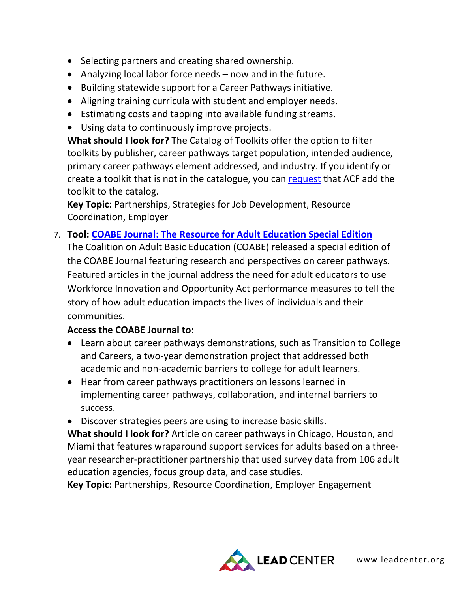- Selecting partners and creating shared ownership.
- Analyzing local labor force needs now and in the future.
- Building statewide support for a Career Pathways initiative.
- Aligning training curricula with student and employer needs.
- Estimating costs and tapping into available funding streams.
- Using data to continuously improve projects.

**What should I look for?** The Catalog of Toolkits offer the option to filter toolkits by publisher, career pathways target population, intended audience, primary career pathways element addressed, and industry. If you identify or create a toolkit that is not in the catalogue, you can [request](https://cptoolkitcatalog.peerta.acf.hhs.gov/contact) that ACF add the toolkit to the catalog.

**Key Topic:** Partnerships, Strategies for Job Development, Resource Coordination, Employer

7. **Tool: [COABE Journal: The Resource for Adult Education Special Edition](https://static1.squarespace.com/static/55a158b4e4b0796a90f7c371/t/5b594b05575d1f07aafe4722/1532578615964/The+Resource+for+Adult+Education+Career+Pathways+Special+Edition.pdf)**

The Coalition on Adult Basic Education (COABE) released a special edition of the COABE Journal featuring research and perspectives on career pathways. Featured articles in the journal address the need for adult educators to use Workforce Innovation and Opportunity Act performance measures to tell the story of how adult education impacts the lives of individuals and their communities.

### **Access the COABE Journal to:**

- Learn about career pathways demonstrations, such as Transition to College and Careers, a two-year demonstration project that addressed both academic and non-academic barriers to college for adult learners.
- Hear from career pathways practitioners on lessons learned in implementing career pathways, collaboration, and internal barriers to success.
- Discover strategies peers are using to increase basic skills.

**What should I look for?** Article on career pathways in Chicago, Houston, and Miami that features wraparound support services for adults based on a threeyear researcher-practitioner partnership that used survey data from 106 adult education agencies, focus group data, and case studies.

**Key Topic:** Partnerships, Resource Coordination, Employer Engagement

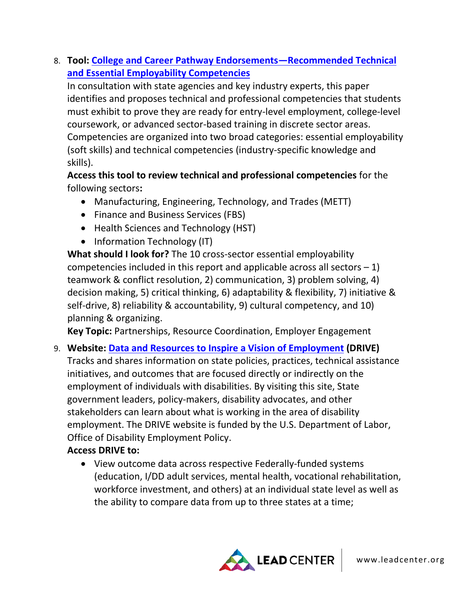8. **Tool: [College and Career Pathway Endorsements—Recommended Technical](https://www.jff.org/resources/postsecondary-workforce-readiness-act/)  [and Essential Employability Competencies](https://www.jff.org/resources/postsecondary-workforce-readiness-act/)**

In consultation with state agencies and key industry experts, this paper identifies and proposes technical and professional competencies that students must exhibit to prove they are ready for entry-level employment, college-level coursework, or advanced sector-based training in discrete sector areas. Competencies are organized into two broad categories: essential employability (soft skills) and technical competencies (industry-specific knowledge and skills).

**Access this tool to review technical and professional competencies** for the following sectors**:** 

- Manufacturing, Engineering, Technology, and Trades (METT)
- Finance and Business Services (FBS)
- Health Sciences and Technology (HST)
- Information Technology (IT)

**What should I look for?** The 10 cross-sector essential employability competencies included in this report and applicable across all sectors  $-1$ ) teamwork & conflict resolution, 2) communication, 3) problem solving, 4) decision making, 5) critical thinking, 6) adaptability & flexibility, 7) initiative & self-drive, 8) reliability & accountability, 9) cultural competency, and 10) planning & organizing.

**Key Topic:** Partnerships, Resource Coordination, Employer Engagement

### 9. **Website: [Data and Resources to Inspire a Vision of Employment](http://drivedisabilityemployment.org/) (DRIVE)** Tracks and shares information on state policies, practices, technical assistance initiatives, and outcomes that are focused directly or indirectly on the employment of individuals with disabilities. By visiting this site, State government leaders, policy-makers, disability advocates, and other stakeholders can learn about what is working in the area of disability employment. The DRIVE website is funded by the U.S. Department of Labor, Office of Disability Employment Policy.

### **Access DRIVE to:**

• View outcome data across respective Federally-funded systems (education, I/DD adult services, mental health, vocational rehabilitation, workforce investment, and others) at an individual state level as well as the ability to compare data from up to three states at a time;

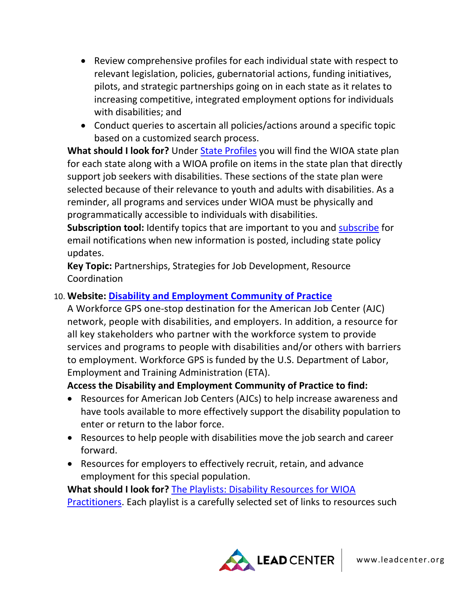- Review comprehensive profiles for each individual state with respect to relevant legislation, policies, gubernatorial actions, funding initiatives, pilots, and strategic partnerships going on in each state as it relates to increasing competitive, integrated employment options for individuals with disabilities; and
- Conduct queries to ascertain all policies/actions around a specific topic based on a customized search process.

**What should I look for?** Under [State Profiles](http://drivedisabilityemployment.org/state-profiles) you will find the WIOA state plan for each state along with a WIOA profile on items in the state plan that directly support job seekers with disabilities. These sections of the state plan were selected because of their relevance to youth and adults with disabilities. As a reminder, all programs and services under WIOA must be physically and programmatically accessible to individuals with disabilities.

**Subscription tool:** Identify topics that are important to you and [subscribe](http://drivedisabilityemployment.org/subscribe) for email notifications when new information is posted, including state policy updates.

**Key Topic:** Partnerships, Strategies for Job Development, Resource Coordination

### 10. **Website: [Disability and Employment Community of Practice](https://disability.workforcegps.org/)**

A Workforce GPS one-stop destination for the American Job Center (AJC) network, people with disabilities, and employers. In addition, a resource for all key stakeholders who partner with the workforce system to provide services and programs to people with disabilities and/or others with barriers to employment. Workforce GPS is funded by the U.S. Department of Labor, Employment and Training Administration (ETA).

**Access the Disability and Employment Community of Practice to find:**

- Resources for American Job Centers (AJCs) to help increase awareness and have tools available to more effectively support the disability population to enter or return to the labor force.
- Resources to help people with disabilities move the job search and career forward.
- Resources for employers to effectively recruit, retain, and advance employment for this special population.

**What should I look for?** [The Playlists: Disability Resources for WIOA](https://disability.workforcegps.org/resources/2017/02/15/22/14/The_Playlists_Disability_Resources_for_WIOA_Practitioners)  [Practitioners.](https://disability.workforcegps.org/resources/2017/02/15/22/14/The_Playlists_Disability_Resources_for_WIOA_Practitioners) Each playlist is a carefully selected set of links to resources such

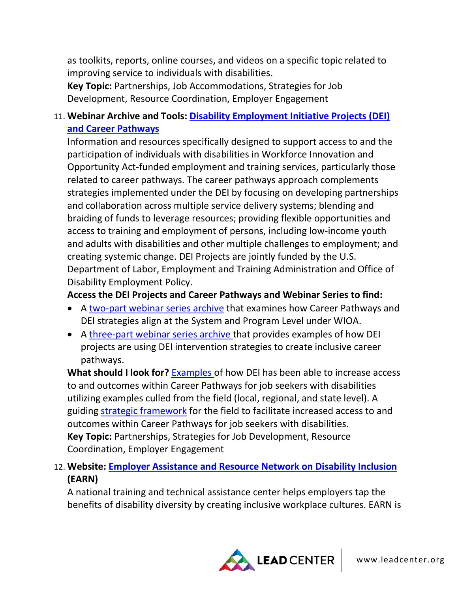as toolkits, reports, online courses, and videos on a specific topic related to improving service to individuals with disabilities.

**Key Topic:** Partnerships, Job Accommodations, Strategies for Job Development, Resource Coordination, Employer Engagement

## 11. **Webinar Archive and Tools: [Disability Employment Initiative Projects \(DEI\)](https://dei.workforcegps.org/resources/2017/08/22/14/53/LP_DEI_Projects_and_Career_Pathways)  [and Career Pathways](https://dei.workforcegps.org/resources/2017/08/22/14/53/LP_DEI_Projects_and_Career_Pathways)**

Information and resources specifically designed to support access to and the participation of individuals with disabilities in Workforce Innovation and Opportunity Act-funded employment and training services, particularly those related to career pathways. The career pathways approach complements strategies implemented under the DEI by focusing on developing partnerships and collaboration across multiple service delivery systems; blending and braiding of funds to leverage resources; providing flexible opportunities and access to training and employment of persons, including low-income youth and adults with disabilities and other multiple challenges to employment; and creating systemic change. DEI Projects are jointly funded by the U.S. Department of Labor, Employment and Training Administration and Office of Disability Employment Policy.

#### **Access the DEI Projects and Career Pathways and Webinar Series to find:**

- A [two-part webinar series archive](https://dei.workforcegps.org/resources/2017/06/28/01/17/LP-Career_Pathways-Systems_and_Program_Level_Strategies-Two-Part_Series) that examines how Career Pathways and DEI strategies align at the System and Program Level under WIOA.
- A [three-part webinar series archive t](https://dei.workforcegps.org/resources/2018/02/01/22/42/Disability_Employment_Initiative_and_Career_Pathways_Series)hat provides examples of how DEI projects are using DEI intervention strategies to create inclusive career pathways.

**What should I look for?** [Examples o](https://dei.workforcegps.org/events/2018/03/15/19/37/Part-2-The_Examples_You_Have_Been_Seeking)f how DEI has been able to increase access to and outcomes within Career Pathways for job seekers with disabilities utilizing examples culled from the field (local, regional, and state level). A guiding [strategic framework](https://dei.workforcegps.org/events/2018/05/24/02/08/Part_3-Functional_Alignment_at_the_State_Regional_and_Local_Level) for the field to facilitate increased access to and outcomes within Career Pathways for job seekers with disabilities. **Key Topic:** Partnerships, Strategies for Job Development, Resource Coordination, Employer Engagement

# 12. **Website: [Employer Assistance and Resource Network on Disability Inclusion](http://www.askearn.org/) (EARN)**

A national training and technical assistance center helps employers tap the benefits of disability diversity by creating inclusive workplace cultures. EARN is

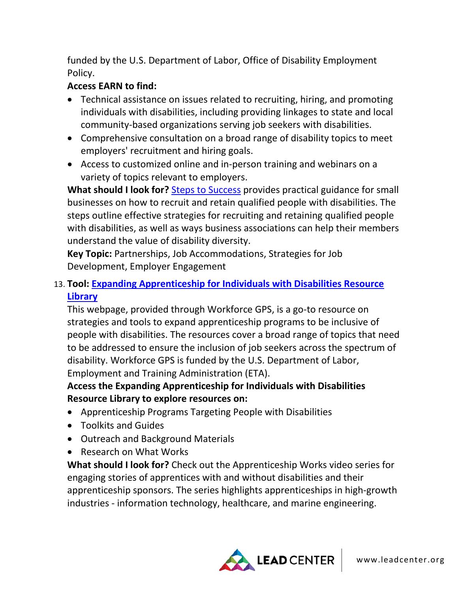funded by the U.S. Department of Labor, Office of Disability Employment Policy.

### **Access EARN to find:**

- Technical assistance on issues related to recruiting, hiring, and promoting individuals with disabilities, including providing linkages to state and local community-based organizations serving job seekers with disabilities.
- Comprehensive consultation on a broad range of disability topics to meet employers' recruitment and hiring goals.
- Access to customized online and in-person training and webinars on a variety of topics relevant to employers.

**What should I look for?** [Steps to Success](http://www.askearn.org/stepstosuccess/) provides practical guidance for small businesses on how to recruit and retain qualified people with disabilities. The steps outline effective strategies for recruiting and retaining qualified people with disabilities, as well as ways business associations can help their members understand the value of disability diversity.

**Key Topic:** Partnerships, Job Accommodations, Strategies for Job Development, Employer Engagement

## 13. **Tool: [Expanding Apprenticeship for Individuals with Disabilities Resource](https://apprenticeshipusa.workforcegps.org/resources/2017/03/10/16/09/Expanding-Apprenticeship-for-Individuals-with-Disabilities)  [Library](https://apprenticeshipusa.workforcegps.org/resources/2017/03/10/16/09/Expanding-Apprenticeship-for-Individuals-with-Disabilities)**

This webpage, provided through Workforce GPS, is a go-to resource on strategies and tools to expand apprenticeship programs to be inclusive of people with disabilities. The resources cover a broad range of topics that need to be addressed to ensure the inclusion of job seekers across the spectrum of disability. Workforce GPS is funded by the U.S. Department of Labor, Employment and Training Administration (ETA).

### **Access the Expanding Apprenticeship for Individuals with Disabilities Resource Library to explore resources on:**

- Apprenticeship Programs Targeting People with Disabilities
- Toolkits and Guides
- Outreach and Background Materials
- Research on What Works

**What should I look for?** Check out the Apprenticeship Works video series for engaging stories of apprentices with and without disabilities and their apprenticeship sponsors. The series highlights apprenticeships in high-growth industries - information technology, healthcare, and marine engineering.

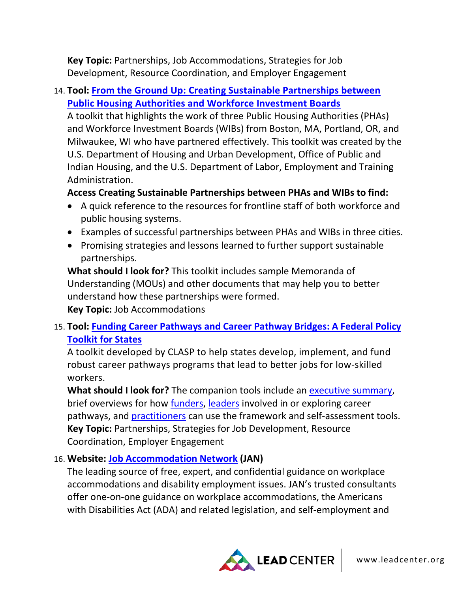**Key Topic:** Partnerships, Job Accommodations, Strategies for Job Development, Resource Coordination, and Employer Engagement

## 14. **Tool: [From the Ground Up: Creating Sustainable Partnerships between](https://www.doleta.gov/youth_services/pdf/Partnership_Toolkit.pdf)  [Public Housing Authorities and Workforce Investment Boards](https://www.doleta.gov/youth_services/pdf/Partnership_Toolkit.pdf)**

A toolkit that highlights the work of three Public Housing Authorities (PHAs) and Workforce Investment Boards (WIBs) from Boston, MA, Portland, OR, and Milwaukee, WI who have partnered effectively. This toolkit was created by the U.S. Department of Housing and Urban Development, Office of Public and Indian Housing, and the U.S. Department of Labor, Employment and Training Administration.

### **Access Creating Sustainable Partnerships between PHAs and WIBs to find:**

- A quick reference to the resources for frontline staff of both workforce and public housing systems.
- Examples of successful partnerships between PHAs and WIBs in three cities.
- Promising strategies and lessons learned to further support sustainable partnerships.

**What should I look for?** This toolkit includes sample Memoranda of Understanding (MOUs) and other documents that may help you to better understand how these partnerships were formed. **Key Topic:** Job Accommodations

# 15. **Tool: [Funding Career Pathways and Career Pathway Bridges: A Federal Policy](https://www.clasp.org/publications/report/brief/funding-career-pathways-and-career-pathway-bridges-federal-policy-toolkit)  [Toolkit for States](https://www.clasp.org/publications/report/brief/funding-career-pathways-and-career-pathway-bridges-federal-policy-toolkit)**

A toolkit developed by CLASP to help states develop, implement, and fund robust career pathways programs that lead to better jobs for low-skilled workers.

What should I look for? The companion tools include an **executive summary**, brief overviews for how **funders**, [leaders](http://www.clasp.org/resources-and-publications/files/aqcp-framework-version-1-0/AQCP-Leader-Letter.pdf) involved in or exploring career pathways, and [practitioners](https://www.clasp.org/sites/default/files/public/resources-and-publications/files/aqcp-framework-version-1-0/AQCP-Practitioner-Letter.pdf) can use the framework and self-assessment tools. **Key Topic:** Partnerships, Strategies for Job Development, Resource Coordination, Employer Engagement

# 16. **Website: [Job Accommodation Network](https://askjan.org/) (JAN)**

The leading source of free, expert, and confidential guidance on workplace accommodations and disability employment issues. JAN's trusted consultants offer one-on-one guidance on workplace accommodations, the Americans with Disabilities Act (ADA) and related legislation, and self-employment and

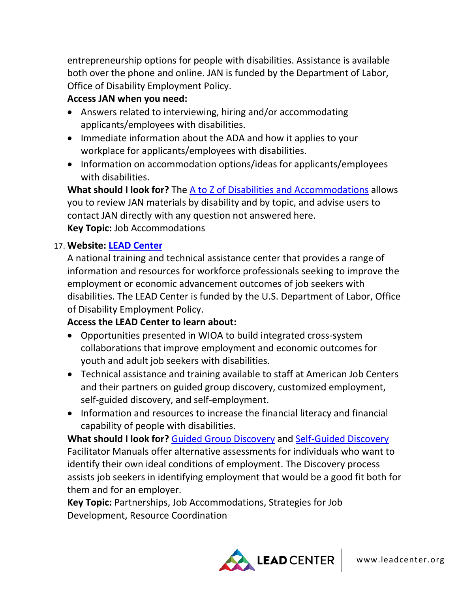entrepreneurship options for people with disabilities. Assistance is available both over the phone and online. JAN is funded by the Department of Labor, Office of Disability Employment Policy.

### **Access JAN when you need:**

- Answers related to interviewing, hiring and/or accommodating applicants/employees with disabilities.
- Immediate information about the ADA and how it applies to your workplace for applicants/employees with disabilities.
- Information on accommodation options/ideas for applicants/employees with disabilities.

**What should I look for?** The [A to Z of Disabilities and Accommodations](https://askjan.org/links/atoz.htm) allows you to review JAN materials by disability and by topic, and advise users to contact JAN directly with any question not answered here. **Key Topic:** Job Accommodations

### 17. **Website: [LEAD Center](http://www.leadcenter.org/)**

A national training and technical assistance center that provides a range of information and resources for workforce professionals seeking to improve the employment or economic advancement outcomes of job seekers with disabilities. The LEAD Center is funded by the U.S. Department of Labor, Office of Disability Employment Policy.

### **Access the LEAD Center to learn about:**

- Opportunities presented in WIOA to build integrated cross-system collaborations that improve employment and economic outcomes for youth and adult job seekers with disabilities.
- Technical assistance and training available to staff at American Job Centers and their partners on guided group discovery, customized employment, self-guided discovery, and self-employment.
- Information and resources to increase the financial literacy and financial capability of people with disabilities.

**What should I look for?** [Guided Group Discovery](http://www.leadcenter.org/resources/tool-manual/guided-group-discovery-resources-introduction-and-course-participant-workbook-and-facilitator-guide) and [Self-Guided Discovery](http://www.leadcenter.org/resources/tool-manual/self-guided-discovery-facilitators-guide-helping-people-discover-their-own-path-employment) Facilitator Manuals offer alternative assessments for individuals who want to identify their own ideal conditions of employment. The Discovery process assists job seekers in identifying employment that would be a good fit both for them and for an employer.

**Key Topic:** Partnerships, Job Accommodations, Strategies for Job Development, Resource Coordination

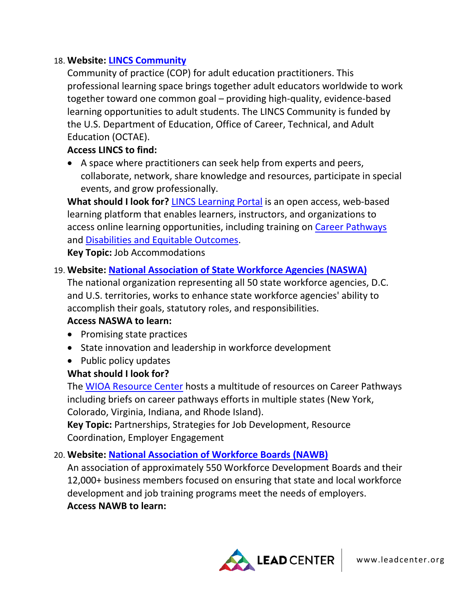### 18. **Website: [LINCS Community](https://community.lincs.ed.gov/)**

Community of practice (COP) for adult education practitioners. This professional learning space brings together adult educators worldwide to work together toward one common goal – providing high-quality, evidence-based learning opportunities to adult students. The LINCS Community is funded by the U.S. Department of Education, Office of Career, Technical, and Adult Education (OCTAE).

#### **Access LINCS to find:**

• A space where practitioners can seek help from experts and peers, collaborate, network, share knowledge and resources, participate in special events, and grow professionally.

**What should I look for?** [LINCS Learning Portal](https://courses.lincs.ed.gov/1/) is an open access, web-based learning platform that enables learners, instructors, and organizations to access online learning opportunities, including training on [Career Pathways](https://courses.lincs.ed.gov/1/course/index.php?categoryid=3) and [Disabilities and Equitable Outcomes.](https://courses.lincs.ed.gov/1/course/index.php?categoryid=2)

**Key Topic:** Job Accommodations

#### 19. **Website: [National Association of State Workforce Agencies \(NASWA\)](http://www.naswa.org/)**

The national organization representing all 50 state workforce agencies, D.C. and U.S. territories, works to enhance state workforce agencies' ability to accomplish their goals, statutory roles, and responsibilities.

#### **Access NASWA to learn:**

- Promising state practices
- State innovation and leadership in workforce development
- Public policy updates

#### **What should I look for?**

The [WIOA Resource Center](http://www.naswa.org/resources/wioa/?action=home&id=46) hosts a multitude of resources on Career Pathways including briefs on career pathways efforts in multiple states (New York, Colorado, Virginia, Indiana, and Rhode Island).

**Key Topic:** Partnerships, Strategies for Job Development, Resource Coordination, Employer Engagement

#### 20. **Website: [National Association of Workforce Boards \(NAWB\)](http://nawb.org/)**

An association of approximately 550 Workforce Development Boards and their 12,000+ business members focused on ensuring that state and local workforce development and job training programs meet the needs of employers. **Access NAWB to learn:**

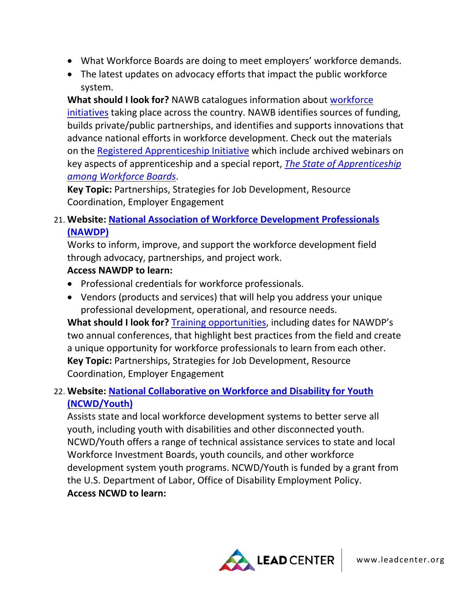- What Workforce Boards are doing to meet employers' workforce demands.
- The latest updates on advocacy efforts that impact the public workforce system.

**What should I look for?** NAWB catalogues information about [workforce](http://nawb.org/workforce_initiatives.asp)  [initiatives](http://nawb.org/workforce_initiatives.asp) taking place across the country. NAWB identifies sources of funding, builds private/public partnerships, and identifies and supports innovations that advance national efforts in workforce development. Check out the materials on the [Registered Apprenticeship Initiative](http://nawb.org/registered_apprenticeship.asp) which include archived webinars on key aspects of apprenticeship and a special report, *[The State of Apprenticeship](https://irp-cdn.multiscreensite.com/dc0a626e/files/uploaded/NAWB-Apprenticeship-092717_Final.pdf)  [among Workforce Boards](https://irp-cdn.multiscreensite.com/dc0a626e/files/uploaded/NAWB-Apprenticeship-092717_Final.pdf)*.

**Key Topic:** Partnerships, Strategies for Job Development, Resource Coordination, Employer Engagement

21. **Website: [National Association of Workforce Development Professionals](https://www.nawdp.org/)  [\(NAWDP\)](https://www.nawdp.org/)**

Works to inform, improve, and support the workforce development field through advocacy, partnerships, and project work.

### **Access NAWDP to learn:**

- Professional credentials for workforce professionals.
- Vendors (products and services) that will help you address your unique professional development, operational, and resource needs.

**What should I look for?** [Training opportunities,](https://www.nawdp.org/page/EventsTraining) including dates for NAWDP's two annual conferences, that highlight best practices from the field and create a unique opportunity for workforce professionals to learn from each other. **Key Topic:** Partnerships, Strategies for Job Development, Resource Coordination, Employer Engagement

# 22. **Website: [National Collaborative on Workforce and Disability for Youth](http://www.ncwd-youth.info/)  [\(NCWD/Youth\)](http://www.ncwd-youth.info/)**

Assists state and local workforce development systems to better serve all youth, including youth with disabilities and other disconnected youth. NCWD/Youth offers a range of technical assistance services to state and local Workforce Investment Boards, youth councils, and other workforce development system youth programs. NCWD/Youth is funded by a grant from the U.S. Department of Labor, Office of Disability Employment Policy. **Access NCWD to learn:**

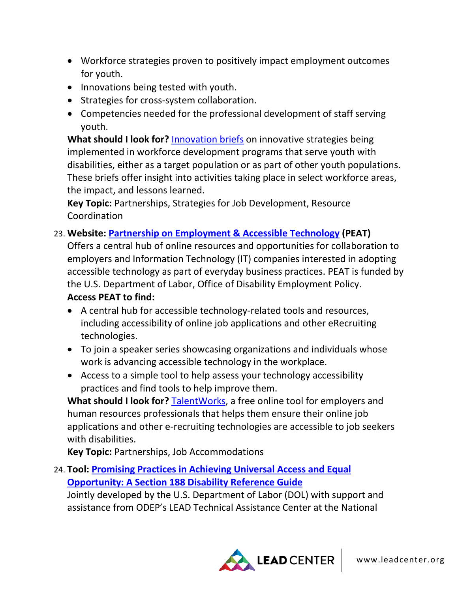- Workforce strategies proven to positively impact employment outcomes for youth.
- Innovations being tested with youth.
- Strategies for cross-system collaboration.
- Competencies needed for the professional development of staff serving youth.

**What should I look for?** [Innovation briefs](http://www.ncwd-youth.info/solutions/innovative-strategies/) on innovative strategies being implemented in workforce development programs that serve youth with disabilities, either as a target population or as part of other youth populations. These briefs offer insight into activities taking place in select workforce areas, the impact, and lessons learned.

**Key Topic:** Partnerships, Strategies for Job Development, Resource Coordination

#### 23. **Website: [Partnership on Employment & Accessible Technology](https://www.peatworks.org/) (PEAT)**

Offers a central hub of online resources and opportunities for collaboration to employers and Information Technology (IT) companies interested in adopting accessible technology as part of everyday business practices. PEAT is funded by the U.S. Department of Labor, Office of Disability Employment Policy. **Access PEAT to find:**

- A central hub for accessible technology-related tools and resources, including accessibility of online job applications and other eRecruiting technologies.
- To join a speaker series showcasing organizations and individuals whose work is advancing accessible technology in the workplace.
- Access to a simple tool to help assess your technology accessibility practices and find tools to help improve them.

**What should I look for?** [TalentWorks,](https://www.peatworks.org/talentworks) a free online tool for employers and human resources professionals that helps them ensure their online job applications and other e-recruiting technologies are accessible to job seekers with disabilities.

**Key Topic:** Partnerships, Job Accommodations

24. **Tool: [Promising Practices in Achieving Universal Access and Equal](http://www.leadcenter.org/resources/tool-manual/promising-practices-achieving-universal-access-and-equal-opportunity-section-188-disability-reference-guide)  [Opportunity: A Section 188 Disability Reference Guide](http://www.leadcenter.org/resources/tool-manual/promising-practices-achieving-universal-access-and-equal-opportunity-section-188-disability-reference-guide)**

Jointly developed by the U.S. Department of Labor (DOL) with support and assistance from ODEP's LEAD Technical Assistance Center at the National

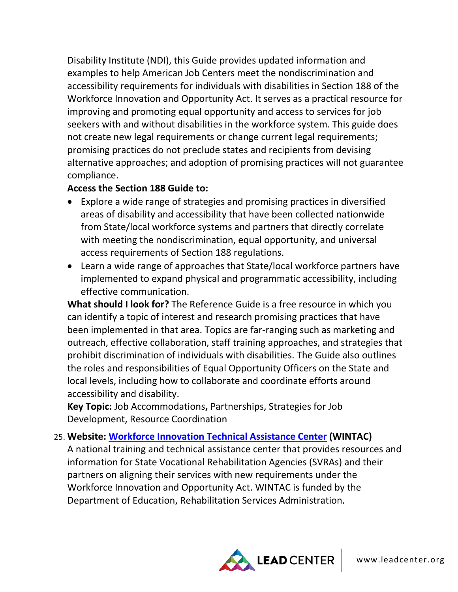Disability Institute (NDI), this Guide provides updated information and examples to help American Job Centers meet the nondiscrimination and accessibility requirements for individuals with disabilities in Section 188 of the Workforce Innovation and Opportunity Act. It serves as a practical resource for improving and promoting equal opportunity and access to services for job seekers with and without disabilities in the workforce system. This guide does not create new legal requirements or change current legal requirements; promising practices do not preclude states and recipients from devising alternative approaches; and adoption of promising practices will not guarantee compliance.

### **Access the Section 188 Guide to:**

- Explore a wide range of strategies and promising practices in diversified areas of disability and accessibility that have been collected nationwide from State/local workforce systems and partners that directly correlate with meeting the nondiscrimination, equal opportunity, and universal access requirements of Section 188 regulations.
- Learn a wide range of approaches that State/local workforce partners have implemented to expand physical and programmatic accessibility, including effective communication.

**What should I look for?** The Reference Guide is a free resource in which you can identify a topic of interest and research promising practices that have been implemented in that area. Topics are far-ranging such as marketing and outreach, effective collaboration, staff training approaches, and strategies that prohibit discrimination of individuals with disabilities. The Guide also outlines the roles and responsibilities of Equal Opportunity Officers on the State and local levels, including how to collaborate and coordinate efforts around accessibility and disability.

**Key Topic:** Job Accommodations**,** Partnerships, Strategies for Job Development, Resource Coordination

#### 25. **Website: [Workforce Innovation Technical Assistance Center](http://www.wintac.org/) (WINTAC)**

A national training and technical assistance center that provides resources and information for State Vocational Rehabilitation Agencies (SVRAs) and their partners on aligning their services with new requirements under the Workforce Innovation and Opportunity Act. WINTAC is funded by the Department of Education, Rehabilitation Services Administration.